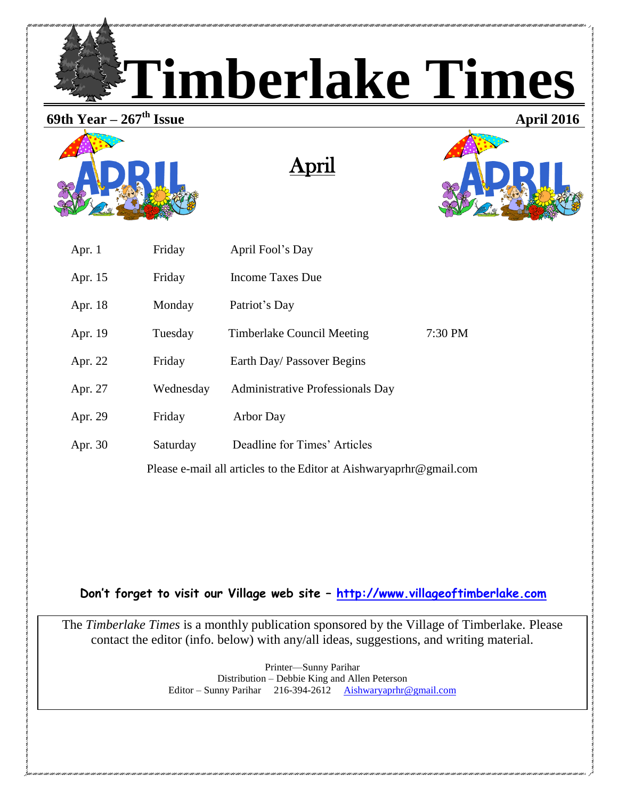**Timberlake Times**

# **69th Year – 267**



April



| Apr. $1$                                                            | Friday    | April Fool's Day                        |           |  |
|---------------------------------------------------------------------|-----------|-----------------------------------------|-----------|--|
| Apr. 15                                                             | Friday    | <b>Income Taxes Due</b>                 |           |  |
| Apr. 18                                                             | Monday    | Patriot's Day                           |           |  |
| Apr. 19                                                             | Tuesday   | Timberlake Council Meeting              | $7:30$ PM |  |
| Apr. 22                                                             | Friday    | Earth Day/ Passover Begins              |           |  |
| Apr. 27                                                             | Wednesday | <b>Administrative Professionals Day</b> |           |  |
| Apr. 29                                                             | Friday    | <b>Arbor Day</b>                        |           |  |
| Apr. 30                                                             | Saturday  | Deadline for Times' Articles            |           |  |
| Please e-mail all articles to the Editor at Aishwaryaprhr@gmail.com |           |                                         |           |  |

**Don't forget to visit our Village web site – [http://www.villageoftimberlake.com](http://www.villageoftimberlake.com/)** 

The *Timberlake Times* is a monthly publication sponsored by the Village of Timberlake. Please contact the editor (info. below) with any/all ideas, suggestions, and writing material.

> Printer—Sunny Parihar Distribution – Debbie King and Allen Peterson Editor – Sunny Parihar 216-394-2612 [Aishwaryaprhr@gmail.com](mailto:Aishwaryaprhr@gmail.com)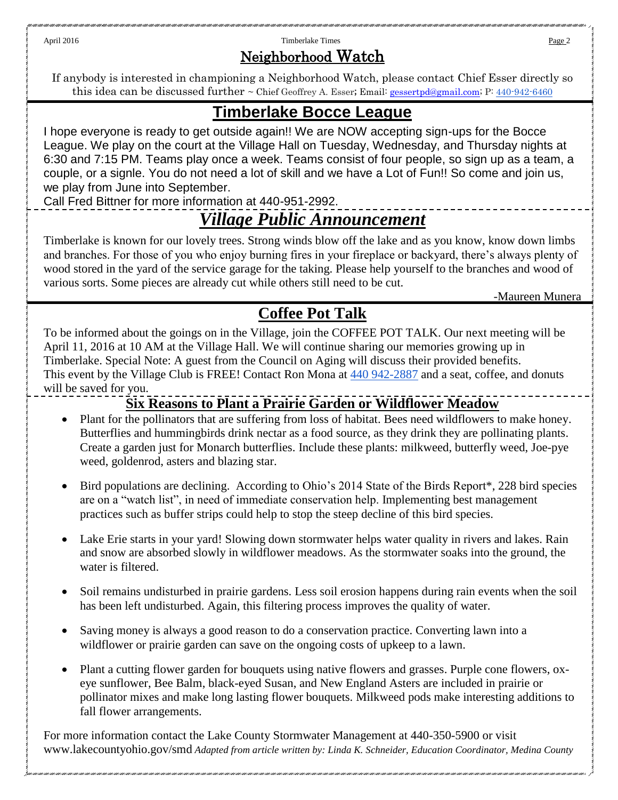April 2016 **Page 2 Page 2 Timberlake Times Page 2 Page 2 Page 2 Page 2 Page 2 Page 2 Page 2 Page 2 Page 2 Page 2 Page 2 Page 2 Page 2 Page 2 Page 2 Page 2 Page 2 Page 2 Page 2 Pa** 

### Neighborhood Watch

If anybody is interested in championing a Neighborhood Watch, please contact Chief Esser directly so this idea can be discussed further ~ Chief Geoffrey A. Esser; Email: <u>gessertpd@gmail.com; P: [440-942-6460](tel:440-942-6460)</u>

# **Timberlake Bocce League**

I hope everyone is ready to get outside again!! We are NOW accepting sign-ups for the Bocce League. We play on the court at the Village Hall on Tuesday, Wednesday, and Thursday nights at 6:30 and 7:15 PM. Teams play once a week. Teams consist of four people, so sign up as a team, a couple, or a signle. You do not need a lot of skill and we have a Lot of Fun!! So come and join us, we play from June into September.

Call Fred Bittner for more information at 440-951-2992.

# *Village Public Announcement*

Timberlake is known for our lovely trees. Strong winds blow off the lake and as you know, know down limbs and branches. For those of you who enjoy burning fires in your fireplace or backyard, there's always plenty of wood stored in the yard of the service garage for the taking. Please help yourself to the branches and wood of various sorts. Some pieces are already cut while others still need to be cut.

-Maureen Munera

# **Coffee Pot Talk**

To be informed about the goings on in the Village, join the COFFEE POT TALK. Our next meeting will be April 11, 2016 at 10 AM at the Village Hall. We will continue sharing our memories growing up in Timberlake. Special Note: A guest from the Council on Aging will discuss their provided benefits. This event by the Village Club is FREE! Contact Ron Mona at [440 942-2887](tel:440%20942-2887) and a seat, coffee, and donuts will be saved for you.

## **Six Reasons to Plant a Prairie Garden or Wildflower Meadow**

- Plant for the pollinators that are suffering from loss of habitat. Bees need wildflowers to make honey. Butterflies and hummingbirds drink nectar as a food source, as they drink they are pollinating plants. Create a garden just for Monarch butterflies. Include these plants: milkweed, butterfly weed, Joe-pye weed, goldenrod, asters and blazing star.
- Bird populations are declining. According to Ohio's 2014 State of the Birds Report\*, 228 bird species are on a "watch list", in need of immediate conservation help. Implementing best management practices such as buffer strips could help to stop the steep decline of this bird species.
- Lake Erie starts in your yard! Slowing down stormwater helps water quality in rivers and lakes. Rain and snow are absorbed slowly in wildflower meadows. As the stormwater soaks into the ground, the water is filtered.
- Soil remains undisturbed in prairie gardens. Less soil erosion happens during rain events when the soil has been left undisturbed. Again, this filtering process improves the quality of water.
- Saving money is always a good reason to do a conservation practice. Converting lawn into a wildflower or prairie garden can save on the ongoing costs of upkeep to a lawn.
- Plant a cutting flower garden for bouquets using native flowers and grasses. Purple cone flowers, oxeye sunflower, Bee Balm, black-eyed Susan, and New England Asters are included in prairie or pollinator mixes and make long lasting flower bouquets. Milkweed pods make interesting additions to fall flower arrangements.

For more information contact the Lake County Stormwater Management at 440-350-5900 or visit www.lakecountyohio.gov/smd *Adapted from article written by: Linda K. Schneider, Education Coordinator, Medina County*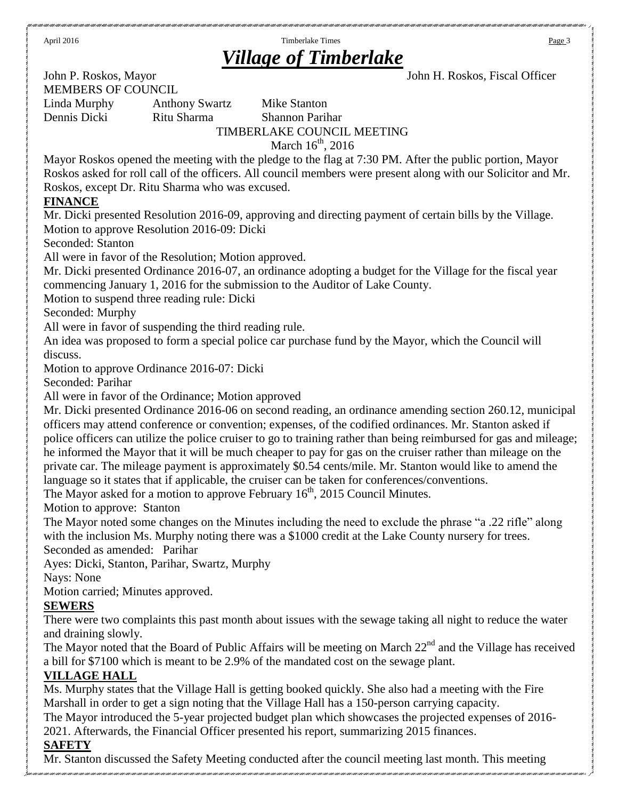April 2016 **Page 3 Page 3 Timberlake Times Page 3 Page 3** 

# *Village of Timberlake*

John P. Roskos, Mayor John H. Roskos, Fiscal Officer MEMBERS OF COUNCIL

Linda Murphy Anthony Swartz Mike Stanton Dennis Dicki Ritu Sharma Shannon Parihar TIMBERLAKE COUNCIL MEETING March  $16^{th}$ , 2016

Mayor Roskos opened the meeting with the pledge to the flag at 7:30 PM. After the public portion, Mayor Roskos asked for roll call of the officers. All council members were present along with our Solicitor and Mr. Roskos, except Dr. Ritu Sharma who was excused.

#### **FINANCE**

Mr. Dicki presented Resolution 2016-09, approving and directing payment of certain bills by the Village. Motion to approve Resolution 2016-09: Dicki

Seconded: Stanton

All were in favor of the Resolution; Motion approved.

Mr. Dicki presented Ordinance 2016-07, an ordinance adopting a budget for the Village for the fiscal year commencing January 1, 2016 for the submission to the Auditor of Lake County.

Motion to suspend three reading rule: Dicki

Seconded: Murphy

All were in favor of suspending the third reading rule.

An idea was proposed to form a special police car purchase fund by the Mayor, which the Council will discuss.

Motion to approve Ordinance 2016-07: Dicki

Seconded: Parihar

All were in favor of the Ordinance; Motion approved

Mr. Dicki presented Ordinance 2016-06 on second reading, an ordinance amending section 260.12, municipal officers may attend conference or convention; expenses, of the codified ordinances. Mr. Stanton asked if police officers can utilize the police cruiser to go to training rather than being reimbursed for gas and mileage; he informed the Mayor that it will be much cheaper to pay for gas on the cruiser rather than mileage on the private car. The mileage payment is approximately \$0.54 cents/mile. Mr. Stanton would like to amend the language so it states that if applicable, the cruiser can be taken for conferences/conventions.

The Mayor asked for a motion to approve February  $16<sup>th</sup>$ , 2015 Council Minutes.

Motion to approve: Stanton

The Mayor noted some changes on the Minutes including the need to exclude the phrase "a .22 rifle" along with the inclusion Ms. Murphy noting there was a \$1000 credit at the Lake County nursery for trees.

Seconded as amended: Parihar

Ayes: Dicki, Stanton, Parihar, Swartz, Murphy

Nays: None

Motion carried; Minutes approved.

#### **SEWERS**

There were two complaints this past month about issues with the sewage taking all night to reduce the water and draining slowly.

The Mayor noted that the Board of Public Affairs will be meeting on March 22<sup>nd</sup> and the Village has received a bill for \$7100 which is meant to be 2.9% of the mandated cost on the sewage plant.

#### **VILLAGE HALL**

Ms. Murphy states that the Village Hall is getting booked quickly. She also had a meeting with the Fire Marshall in order to get a sign noting that the Village Hall has a 150-person carrying capacity.

The Mayor introduced the 5-year projected budget plan which showcases the projected expenses of 2016- 2021. Afterwards, the Financial Officer presented his report, summarizing 2015 finances.

### **SAFETY**

Mr. Stanton discussed the Safety Meeting conducted after the council meeting last month. This meeting